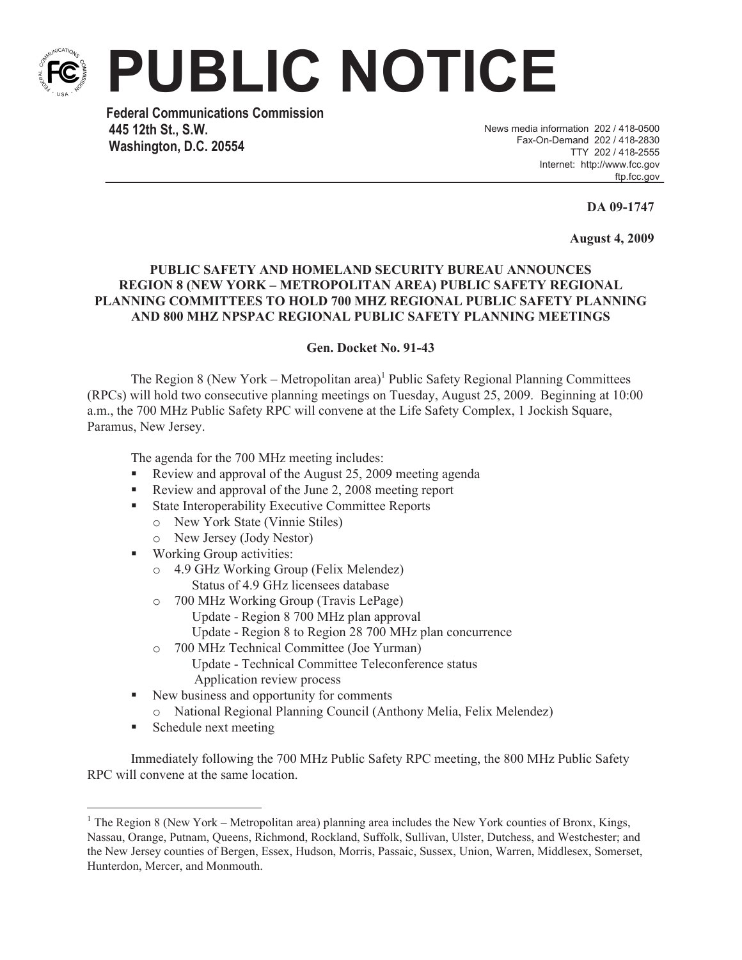

**PUBLIC NOTICE**

**Federal Communications Commission 445 12th St., S.W. Washington, D.C. 20554**

News media information 202 / 418-0500 Fax-On-Demand 202 / 418-2830 TTY 202 / 418-2555 Internet: http://www.fcc.gov ftp.fcc.gov

**DA 09-1747**

**August 4, 2009**

## **PUBLIC SAFETY AND HOMELAND SECURITY BUREAU ANNOUNCES REGION 8 (NEW YORK – METROPOLITAN AREA) PUBLIC SAFETY REGIONAL PLANNING COMMITTEES TO HOLD 700 MHZ REGIONAL PUBLIC SAFETY PLANNING AND 800 MHZ NPSPAC REGIONAL PUBLIC SAFETY PLANNING MEETINGS**

## **Gen. Docket No. 91-43**

The Region 8 (New York – Metropolitan area)<sup>1</sup> Public Safety Regional Planning Committees (RPCs) will hold two consecutive planning meetings on Tuesday, August 25, 2009. Beginning at 10:00 a.m., the 700 MHz Public Safety RPC will convene at the Life Safety Complex, 1 Jockish Square, Paramus, New Jersey.

The agenda for the 700 MHz meeting includes:

- Review and approval of the August 25, 2009 meeting agenda
- Review and approval of the June 2, 2008 meeting report
- State Interoperability Executive Committee Reports
	- o New York State (Vinnie Stiles)
	- o New Jersey (Jody Nestor)
- Working Group activities:
	- o 4.9 GHz Working Group (Felix Melendez) Status of 4.9 GHz licensees database
	- o 700 MHz Working Group (Travis LePage)
		- Update Region 8 700 MHz plan approval
		- Update Region 8 to Region 28 700 MHz plan concurrence
	- o 700 MHz Technical Committee (Joe Yurman) Update - Technical Committee Teleconference status Application review process
- New business and opportunity for comments
	- o National Regional Planning Council (Anthony Melia, Felix Melendez)
- Schedule next meeting

Immediately following the 700 MHz Public Safety RPC meeting, the 800 MHz Public Safety RPC will convene at the same location.

<sup>&</sup>lt;sup>1</sup> The Region 8 (New York – Metropolitan area) planning area includes the New York counties of Bronx, Kings, Nassau, Orange, Putnam, Queens, Richmond, Rockland, Suffolk, Sullivan, Ulster, Dutchess, and Westchester; and the New Jersey counties of Bergen, Essex, Hudson, Morris, Passaic, Sussex, Union, Warren, Middlesex, Somerset, Hunterdon, Mercer, and Monmouth.